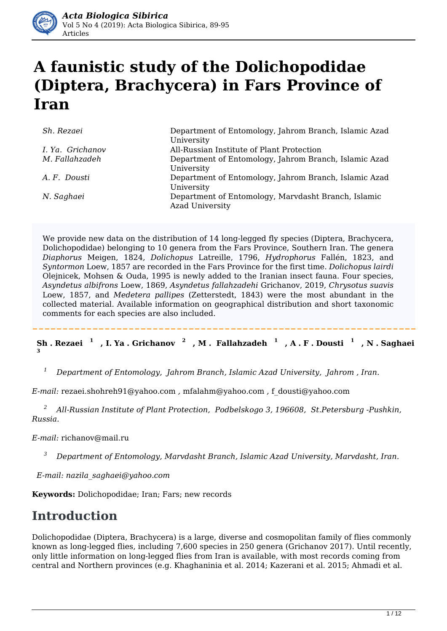

# **A faunistic study of the Dolichopodidae (Diptera, Brachycera) in Fars Province of Iran**

| Sh. Rezaei       | Department of Entomology, Jahrom Branch, Islamic Azad<br>University           |
|------------------|-------------------------------------------------------------------------------|
| I. Ya. Grichanov | All-Russian Institute of Plant Protection                                     |
| M. Fallahzadeh   | Department of Entomology, Jahrom Branch, Islamic Azad<br>University           |
| A.F. Dousti      | Department of Entomology, Jahrom Branch, Islamic Azad<br>University           |
| N. Saghaei       | Department of Entomology, Marvdasht Branch, Islamic<br><b>Azad University</b> |

We provide new data on the distribution of 14 long-legged fly species (Diptera, Brachycera, Dolichopodidae) belonging to 10 genera from the Fars Province, Southern Iran. The genera *Diaphorus* Meigen, 1824, *Dolichopus* Latreille, 1796, *Hydrophorus* Fallén, 1823, and *Syntormon* Loew, 1857 are recorded in the Fars Province for the first time. *Dolichopus lairdi* Olejnicek, Mohsen & Ouda, 1995 is newly added to the Iranian insect fauna. Four species, *Asyndetus albifrons* Loew, 1869, *Asyndetus fallahzadehi* Grichanov, 2019, *Chrysotus suavis* Loew, 1857, and *Medetera pallipes* (Zetterstedt, 1843) were the most abundant in the collected material. Available information on geographical distribution and short taxonomic comments for each species are also included.

Sh. Rezaei $^{-1}$ , I. Ya . Grichanov $^{-2}$ , M . Fallahzadeh $^{-1}$ , A . F . Dousti $^{-1}$ , N . Saghaei **3**

*1 Department of Entomology, Jahrom Branch, Islamic Azad University, Jahrom , Iran.*

*E-mail:* rezaei.shohreh91@yahoo.com *,* mfalahm@yahoo.com *,* f\_dousti@yahoo.com

*2 All-Russian Institute of Plant Protection, Podbelskogo 3, 196608, St.Petersburg -Pushkin, Russia.* 

*E-mail:* richanov@mail.ru

*3 Department of Entomology, Marvdasht Branch, Islamic Azad University, Marvdasht, Iran.*

*E-mail: nazila\_saghaei@yahoo.com*

**Keywords:** Dolichopodidae; Iran; Fars; new records

# **Introduction**

Dolichopodidae (Diptera, Brachycera) is a large, diverse and cosmopolitan family of flies commonly known as long-legged flies, including 7,600 species in 250 genera (Grichanov 2017). Until recently, only little information on long-legged flies from Iran is available, with most records coming from central and Northern provinces (e.g. Khaghaninia et al. 2014; Kazerani et al. 2015; Ahmadi et al.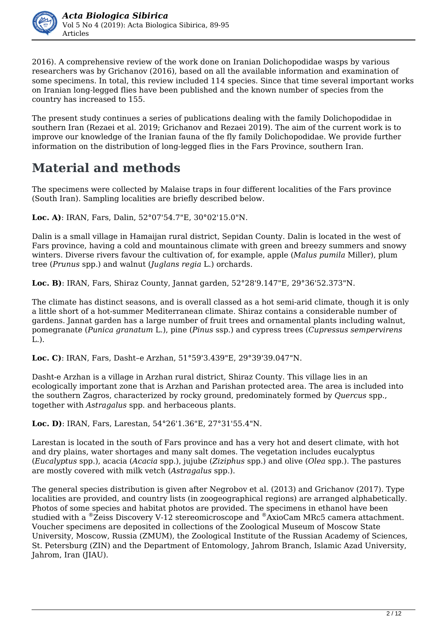

2016). A comprehensive review of the work done on Iranian Dolichopodidae wasps by various researchers was by Grichanov (2016), based on all the available information and examination of some specimens. In total, this review included 114 species. Since that time several important works on Iranian long-legged flies have been published and the known number of species from the country has increased to 155.

The present study continues a series of publications dealing with the family Dolichopodidae in southern Iran (Rezaei et al. 2019; Grichanov and Rezaei 2019). The aim of the current work is to improve our knowledge of the Iranian fauna of the fly family Dolichopodidae. We provide further information on the distribution of long-legged flies in the Fars Province, southern Iran.

# **Material and methods**

The specimens were collected by Malaise traps in four different localities of the Fars province (South Iran). Sampling localities are briefly described below.

**Loc. A)**: IRAN, Fars, Dalin, 52°07'54.7"E, 30°02'15.0"N.

Dalin is a small village in Hamaijan rural district, Sepidan County. Dalin is located in the west of Fars province, having a cold and mountainous climate with green and breezy summers and snowy winters. Diverse rivers favour the cultivation of, for example, apple (*Malus pumila* Miller), plum tree (*Prunus* spp.) and walnut (*Juglans regia* L.) orchards.

**Loc. B)**: IRAN, Fars, Shiraz County, Jannat garden, 52°28'9.147"E, 29°36'52.373"N.

The climate has distinct seasons, and is overall classed as a hot semi-arid climate, though it is only a little short of a hot-summer Mediterranean climate. Shiraz contains a considerable number of gardens. Jannat garden has a large number of fruit trees and ornamental plants including walnut, pomegranate (*Punica granatum* L.), pine (*Pinus* ssp.) and cypress trees (*Cupressus sempervirens* L.).

**Loc. C)**: IRAN, Fars, Dasht–e Arzhan, 51°59'3.439"E, 29°39'39.047"N.

Dasht-e Arzhan is a village in Arzhan rural district, Shiraz County. This village lies in an ecologically important zone that is Arzhan and Parishan protected area. The area is included into the southern Zagros, characterized by rocky ground, predominately formed by *Quercus* spp., together with *Astragalus* spp. and herbaceous plants.

**Loc. D)**: IRAN, Fars, Larestan, 54°26'1.36"E, 27°31'55.4"N.

Larestan is located in the south of Fars province and has a very hot and desert climate, with hot and dry plains, water shortages and many salt domes. The vegetation includes eucalyptus (*Eucalyptus* spp.), acacia (*Acacia* spp.), jujube (*Ziziphus* spp.) and olive (*Olea* spp.). The pastures are mostly covered with milk vetch (*Astragalus* spp.).

The general species distribution is given after Negrobov et al. (2013) and Grichanov (2017). Type localities are provided, and country lists (in zoogeographical regions) are arranged alphabetically. Photos of some species and habitat photos are provided. The specimens in ethanol have been studied with a <sup>®</sup>Zeiss Discovery V-12 stereomicroscope and <sup>®</sup>AxioCam MRc5 camera attachment. Voucher specimens are deposited in collections of the Zoological Museum of Moscow State University, Moscow, Russia (ZMUM), the Zoological Institute of the Russian Academy of Sciences, St. Petersburg (ZIN) and the Department of Entomology, Jahrom Branch, Islamic Azad University, Jahrom, Iran (JIAU).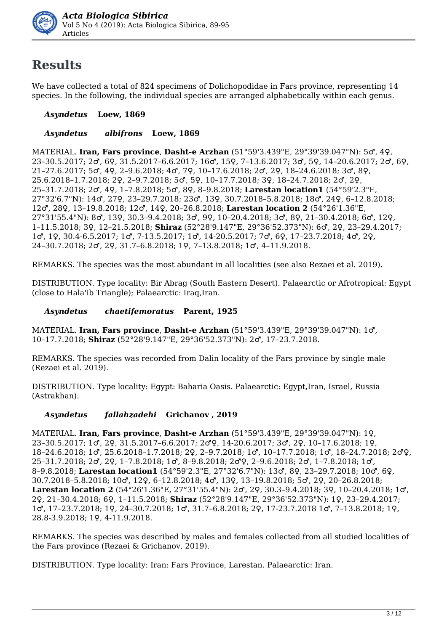

# **Results**

We have collected a total of 824 specimens of Dolichopodidae in Fars province, representing 14 species. In the following, the individual species are arranged alphabetically within each genus.

### *Asyndetus* **Loew, 1869**

### *Asyndetus**albifrons* **Loew, 1869**

MATERIAL. **Iran, Fars province**, **Dasht-e Arzhan** (51°59'3.439"E, 29°39'39.047"N): 5♂, 4♀, 23–30.5.2017; 2♂, 6♀, 31.5.2017–6.6.2017; 16♂, 15♀, 7–13.6.2017; 3♂, 5♀, 14–20.6.2017; 2♂, 6♀, 21–27.6.2017; 5♂, 4♀, 2–9.6.2018; 4♂, 7♀, 10–17.6.2018; 2♂, 2♀, 18–24.6.2018; 3♂, 8♀, 25.6.2018–1.7.2018; 2♀, 2–9.7.2018; 5♂, 5♀, 10–17.7.2018; 3♀, 18–24.7.2018; 2♂, 2♀, 25–31.7.2018; 2♂, 4♀, 1–7.8.2018; 5♂, 8♀, 8–9.8.2018; **Larestan location1** (54°59'2.3"E, 27°32'6.7"N): 14♂, 27♀, 23–29.7.2018; 23♂, 13♀, 30.7.2018–5.8.2018; 18♂, 24♀, 6–12.8.2018; 12♂, 28♀, 13–19.8.2018; 12♂, 14♀, 20–26.8.2018; **Larestan location 2** (54°26'1.36"E, 27°31'55.4"N): 8♂, 13♀, 30.3–9.4.2018; 3♂, 9♀, 10–20.4.2018; 3♂, 8♀, 21–30.4.2018; 6♂, 12♀, 1–11.5.2018; 3♀, 12–21.5.2018; **Shiraz** (52°28'9.147"E, 29°36'52.373"N): 6♂, 2♀, 23–29.4.2017; 1♂, 1♀, 30.4-6.5.2017; 1♂, 7-13.5.2017; 1♂, 14-20.5.2017; 7♂, 6♀, 17–23.7.2018; 4♂, 2♀, 24–30.7.2018; 2♂, 2♀, 31.7–6.8.2018; 1♀, 7–13.8.2018; 1♂, 4–11.9.2018.

REMARKS. The species was the most abundant in all localities (see also Rezaei et al. 2019).

DISTRIBUTION. Type locality: Bir Abrag (South Eastern Desert). Palaearctic or Afrotropical: Egypt (close to Hala'ib Triangle); Palaearctic: Iraq,Iran.

### *Asyndetus**chaetifemoratus* **Parent, 1925**

MATERIAL. **Iran, Fars province**, **Dasht-e Arzhan** (51°59'3.439"E, 29°39'39.047"N): 1♂, 10–17.7.2018; **Shiraz** (52°28'9.147"E, 29°36'52.373"N): 2♂, 17–23.7.2018.

REMARKS. The species was recorded from Dalin locality of the Fars province by single male (Rezaei et al. 2019).

DISTRIBUTION. Type locality: Egypt: Baharia Oasis. Palaearctic: Egypt,Iran, Israel, Russia (Astrakhan).

### *Asyndetus**fallahzadehi* **Grichanov , 2019**

MATERIAL. **Iran, Fars province**, **Dasht-e Arzhan** (51°59'3.439"E, 29°39'39.047"N): 1♀, 23–30.5.2017; 1♂, 2♀, 31.5.2017–6.6.2017; 2♂♀, 14-20.6.2017; 3♂, 2♀, 10–17.6.2018; 1♀, 18–24.6.2018; 1♂, 25.6.2018–1.7.2018; 2♀, 2–9.7.2018; 1♂, 10–17.7.2018; 1♂, 18–24.7.2018; 2♂♀, 25–31.7.2018; 2♂, 2♀, 1–7.8.2018; 1♂, 8–9.8.2018; 2♂♀, 2–9.6.2018; 2♂, 1–7.8.2018; 1♂, 8–9.8.2018; **Larestan location1** (54°59'2.3"E, 27°32'6.7"N): 13♂, 8♀, 23–29.7.2018; 10♂, 6♀, 30.7.2018–5.8.2018; 10♂, 12♀, 6–12.8.2018; 4♂, 13♀, 13–19.8.2018; 5♂, 2♀, 20–26.8.2018; **Larestan location 2** (54°26'1.36"E, 27°31'55.4"N): 2♂, 2♀, 30.3–9.4.2018; 3♀, 10–20.4.2018; 1♂, 2♀, 21–30.4.2018; 6♀, 1–11.5.2018; **Shiraz** (52°28'9.147"E, 29°36'52.373"N): 1♀, 23–29.4.2017; 1♂, 17–23.7.2018; 1♀, 24–30.7.2018; 1♂, 31.7–6.8.2018; 2♀, 17-23.7.2018 1♂, 7–13.8.2018; 1♀, 28.8-3.9.2018; 1♀, 4-11.9.2018.

REMARKS. The species was described by males and females collected from all studied localities of the Fars province (Rezaei & Grichanov, 2019).

DISTRIBUTION. Type locality: Iran: Fars Province, Larestan. Palaearctic: Iran.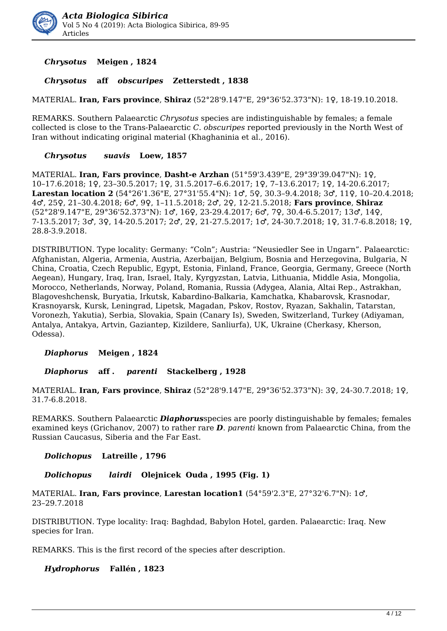

*Chrysotus* **Meigen , 1824**

#### *Chrysotus* **aff** *obscuripes* **Zetterstedt , 1838**

MATERIAL. **Iran, Fars province**, **Shiraz** (52°28'9.147"E, 29°36'52.373"N): 1♀, 18-19.10.2018.

REMARKS. Southern Palaearctic *Chrysotus* species are indistinguishable by females; a female collected is close to the Trans-Palaearctic *C. obscuripes* reported previously in the North West of Iran without indicating original material (Khaghaninia et al., 2016).

#### *Chrysotus**suavis* **Loew, 1857**

MATERIAL. **Iran, Fars province**, **Dasht-e Arzhan** (51°59'3.439"E, 29°39'39.047"N): 1♀, 10–17.6.2018; 1♀, 23–30.5.2017; 1♀, 31.5.2017–6.6.2017; 1♀, 7–13.6.2017; 1♀, 14-20.6.2017; **Larestan location 2** (54°26'1.36"E, 27°31'55.4"N): 1♂, 5♀, 30.3–9.4.2018; 3♂, 11♀, 10–20.4.2018; 4♂, 25♀, 21–30.4.2018; 6♂, 9♀, 1–11.5.2018; 2♂, 2♀, 12-21.5.2018; **Fars province**, **Shiraz** (52°28'9.147"E, 29°36'52.373"N): 1♂, 16♀, 23-29.4.2017; 6♂, 7♀, 30.4-6.5.2017; 13♂, 14♀, 7-13.5.2017; 3♂, 3♀, 14-20.5.2017; 2♂, 2♀, 21-27.5.2017; 1♂, 24-30.7.2018; 1♀, 31.7-6.8.2018; 1♀, 28.8-3.9.2018.

DISTRIBUTION. Type locality: Germany: "Coln"; Austria: "Neusiedler See in Ungarn". Palaearctic: Afghanistan, Algeria, Armenia, Austria, Azerbaijan, Belgium, Bosnia and Herzegovina, Bulgaria, N China, Croatia, Czech Republic, Egypt, Estonia, Finland, France, Georgia, Germany, Greece (North Aegean), Hungary, Iraq, Iran, Israel, Italy, Kyrgyzstan, Latvia, Lithuania, Middle Asia, Mongolia, Morocco, Netherlands, Norway, Poland, Romania, Russia (Adygea, Alania, Altai Rep., Astrakhan, Blagoveshchensk, Buryatia, Irkutsk, Kabardino-Balkaria, Kamchatka, Khabarovsk, Krasnodar, Krasnoyarsk, Kursk, Leningrad, Lipetsk, Magadan, Pskov, Rostov, Ryazan, Sakhalin, Tatarstan, Voronezh, Yakutia), Serbia, Slovakia, Spain (Canary Is), Sweden, Switzerland, Turkey (Adiyaman, Antalya, Antakya, Artvin, Gaziantep, Kizildere, Sanliurfa), UK, Ukraine (Cherkasy, Kherson, Odessa).

#### *Diaphorus* **Meigen , 1824**

*Diaphorus* **aff .** *parenti* **Stackelberg , 1928**

MATERIAL. **Iran, Fars province**, **Shiraz** (52°28'9.147"E, 29°36'52.373"N): 3♀, 24-30.7.2018; 1♀, 31.7-6.8.2018.

REMARKS. Southern Palaearctic *Diaphorus*species are poorly distinguishable by females; females examined keys (Grichanov, 2007) to rather rare *D*. *parenti* known from Palaearctic China, from the Russian Caucasus, Siberia and the Far East.

#### *Dolichopus* **Latreille , 1796**

#### *Dolichopus**lairdi* **Olejnicek Ouda , 1995 (Fig. 1)**

MATERIAL. **Iran, Fars province**, **Larestan location1** (54°59'2.3"E, 27°32'6.7"N): 1♂, 23–29.7.2018

DISTRIBUTION. Type locality: Iraq: Baghdad, Babylon Hotel, garden. Palaearctic: Iraq. New species for Iran.

REMARKS. This is the first record of the species after description.

*Hydrophorus* **Fallén , 1823**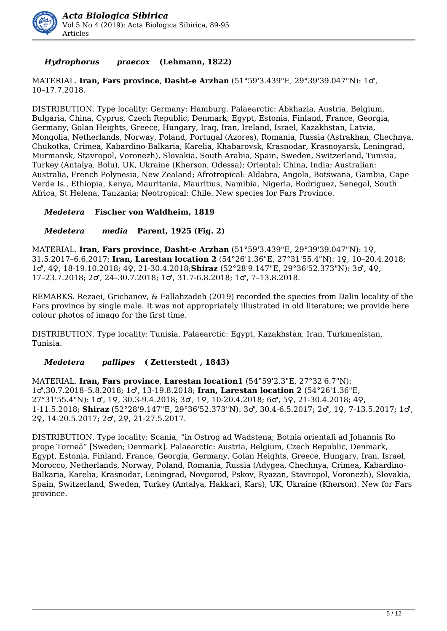

### *Hydrophorus**praecox* **(Lehmann, 1822)**

MATERIAL. **Iran, Fars province**, **Dasht-e Arzhan** (51°59'3.439"E, 29°39'39.047"N): 1♂, 10–17.7.2018.

DISTRIBUTION. Type locality: Germany: Hamburg. Palaearctic: Abkhazia, Austria, Belgium, Bulgaria, China, Cyprus, Czech Republic, Denmark, Egypt, Estonia, Finland, France, Georgia, Germany, Golan Heights, Greece, Hungary, Iraq, Iran, Ireland, Israel, Kazakhstan, Latvia, Mongolia, Netherlands, Norway, Poland, Portugal (Azores), Romania, Russia (Astrakhan, Chechnya, Chukotka, Crimea, Kabardino-Balkaria, Karelia, Khabarovsk, Krasnodar, Krasnoyarsk, Leningrad, Murmansk, Stavropol, Voronezh), Slovakia, South Arabia, Spain, Sweden, Switzerland, Tunisia, Turkey (Antalya, Bolu), UK, Ukraine (Kherson, Odessa); Oriental: China, India; Australian: Australia, French Polynesia, New Zealand; Afrotropical: Aldabra, Angola, Botswana, Gambia, Cape Verde Is., Ethiopia, Kenya, Mauritania, Mauritius, Namibia, Nigeria, Rodriguez, Senegal, South Africa, St Helena, Tanzania; Neotropical: Chile. New species for Fars Province.

#### *Medetera* **Fischer von Waldheim, 1819**

#### *Medetera**media* **Parent, 1925 (Fig. 2)**

MATERIAL. **Iran, Fars province**, **Dasht-e Arzhan** (51°59'3.439"E, 29°39'39.047"N): 1♀, 31.5.2017–6.6.2017; **Iran, Larestan location 2** (54°26'1.36"E, 27°31'55.4"N): 1♀, 10–20.4.2018; 1♂, 4♀, 18-19.10.2018; 4♀, 21-30.4.2018;**Shiraz** (52°28'9.147"E, 29°36'52.373"N): 3♂, 4♀, 17–23.7.2018; 2♂, 24–30.7.2018; 1♂, 31.7-6.8.2018; 1♂, 7–13.8.2018.

REMARKS. Rezaei, Grichanov, & Fallahzadeh (2019) recorded the species from Dalin locality of the Fars province by single male. It was not appropriately illustrated in old literature; we provide here colour photos of imago for the first time.

DISTRIBUTION. Type locality: Tunisia. Palaearctic: Egypt, Kazakhstan, Iran, Turkmenistan, Tunisia.

#### *Medetera**pallipes* **( Zetterstedt , 1843)**

MATERIAL. **Iran, Fars province**, **Larestan location1** (54°59'2.3"E, 27°32'6.7"N): 1♂,30.7.2018–5.8.2018; 1♂, 13-19.8.2018; **Iran, Larestan location 2** (54°26'1.36"E, 27°31'55.4"N): 1♂, 1♀, 30.3-9.4.2018; 3♂, 1♀, 10-20.4.2018; 6♂, 5♀, 21-30.4.2018; 4♀, 1-11.5.2018; **Shiraz** (52°28'9.147"E, 29°36'52.373"N): 3♂, 30.4-6.5.2017; 2♂, 1♀, 7-13.5.2017; 1♂, 2♀, 14-20.5.2017; 2♂, 2♀, 21-27.5.2017.

DISTRIBUTION. Type locality: Scania, "in Ostrog ad Wadstena; Botnia orientali ad Johannis Ro prope Torneä" [Sweden; Denmark]. Palaearctic: Austria, Belgium, Czech Republic, Denmark, Egypt, Estonia, Finland, France, Georgia, Germany, Golan Heights, Greece, Hungary, Iran, Israel, Morocco, Netherlands, Norway, Poland, Romania, Russia (Adygea, Chechnya, Crimea, Kabardino-Balkaria, Karelia, Krasnodar, Leningrad, Novgorod, Pskov, Ryazan, Stavropol, Voronezh), Slovakia, Spain, Switzerland, Sweden, Turkey (Antalya, Hakkari, Kars), UK, Ukraine (Kherson). New for Fars province.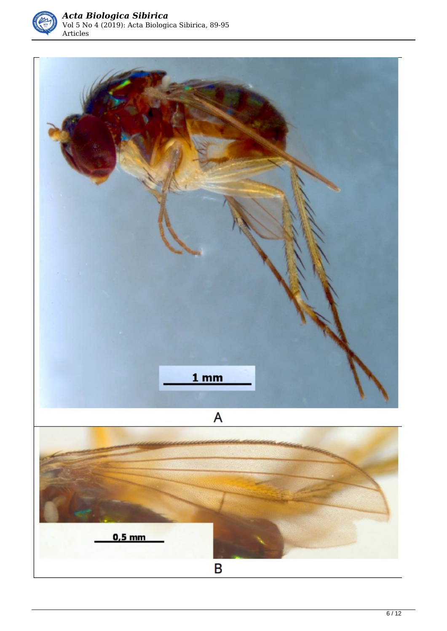

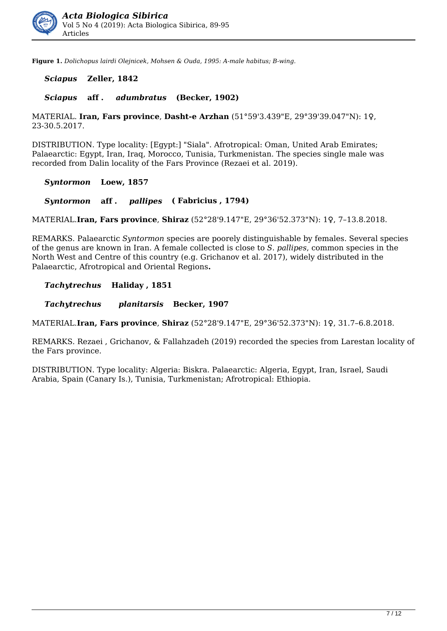

**Figure 1.** *Dolichopus lairdi Olejnicek, Mohsen & Ouda, 1995: A-male habitus; B-wing.* 

#### *Sciapus* **Zeller, 1842**

#### *Sciapus* **aff .** *adumbratus* **(Becker, 1902)**

MATERIAL. **Iran, Fars province**, **Dasht-e Arzhan** (51°59'3.439"E, 29°39'39.047"N): 1♀, 23-30.5.2017.

DISTRIBUTION. Type locality: [Egypt:] "Siala". Afrotropical: Oman, United Arab Emirates; Palaearctic: Egypt, Iran, Iraq, Morocco, Tunisia, Turkmenistan. The species single male was recorded from Dalin locality of the Fars Province (Rezaei et al. 2019).

#### *Syntormon* **Loew, 1857**

*Syntormon* **aff .** *pallipes* **( Fabricius , 1794)**

MATERIAL.**Iran, Fars province**, **Shiraz** (52°28'9.147"E, 29°36'52.373"N): 1♀, 7–13.8.2018.

REMARKS. Palaearctic *Syntormon* species are poorely distinguishable by females. Several species of the genus are known in Iran. A female collected is close to *S*. *pallipes*, common species in the North West and Centre of this country (e.g. Grichanov et al. 2017), widely distributed in the Palaearctic, Afrotropical and Oriental Regions**.**

#### *Tachytrechus* **Haliday , 1851**

*Tachytrechus**planitarsis* **Becker, 1907**

MATERIAL.**Iran, Fars province**, **Shiraz** (52°28'9.147"E, 29°36'52.373"N): 1♀, 31.7–6.8.2018.

REMARKS. Rezaei , Grichanov, & Fallahzadeh (2019) recorded the species from Larestan locality of the Fars province.

DISTRIBUTION. Type locality: Algeria: Biskra. Palaearctic: Algeria, Egypt, Iran, Israel, Saudi Arabia, Spain (Canary Is.), Tunisia, Turkmenistan; Afrotropical: Ethiopia.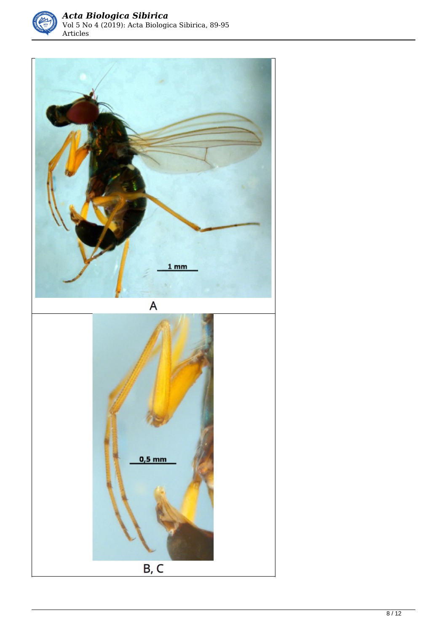

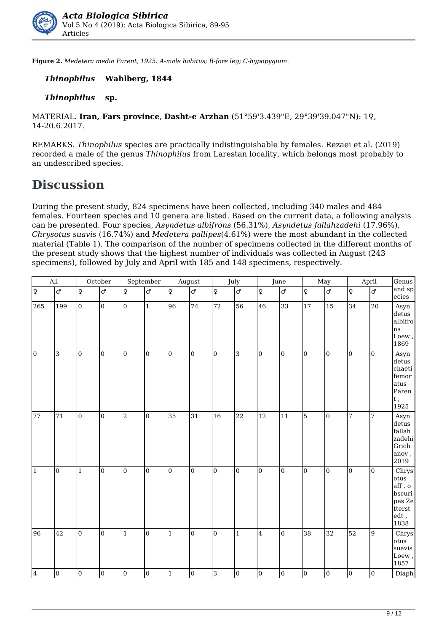

**Figure 2.** *Medetera media Parent, 1925: A-male habitus; B-fore leg; C-hypopygium.* 

#### *Thinophilus* **Wahlberg, 1844**

#### *Thinophilus* **sp.**

MATERIAL. **Iran, Fars province**, **Dasht-e Arzhan** (51°59'3.439"E, 29°39'39.047"N): 1♀, 14-20.6.2017.

REMARKS. *Thinophilus* species are practically indistinguishable by females. Rezaei et al. (2019) recorded a male of the genus *Thinophilus* from Larestan locality, which belongs most probably to an undescribed species.

### **Discussion**

During the present study, 824 specimens have been collected, including 340 males and 484 females. Fourteen species and 10 genera are listed. Based on the current data, a following analysis can be presented. Four species, *Asyndetus albifrons* (56.31%), *Asyndetus fallahzadehi* (17.96%), *Chrysotus suavis* (16.74%) and *Medetera pallipes*(4.61%) were the most abundant in the collected material (Table 1). The comparison of the number of specimens collected in the different months of the present study shows that the highest number of individuals was collected in August (243 specimens), followed by July and April with 185 and 148 specimens, respectively.

| $\overline{All}$ |                     | October        |                | ${\tt September}$ |                | August                    |                 | July                   |                |                 | June            |                | May             |                 | April           | Genus                                                                 |
|------------------|---------------------|----------------|----------------|-------------------|----------------|---------------------------|-----------------|------------------------|----------------|-----------------|-----------------|----------------|-----------------|-----------------|-----------------|-----------------------------------------------------------------------|
| ∣ًٍ              | $\overline{\sigma}$ | $\varphi$      | ď              | $\varphi$         | ď              | $\boldsymbol{\mathsf{Q}}$ | ď.              | $\boldsymbol{\varphi}$ | $\overline{c}$ | $\overline{Q}$  | ರ್              | Ιç             | $\overline{c}$  | ļφ              | $\overline{c}$  | and sp<br>$\rm{ecies}$                                                |
| 265              | 199                 | $\vert_0$      | $\overline{0}$ | $\overline{0}$    | $\mathbf{1}$   | 96                        | 74              | 72                     | 56             | 46              | 33              | 17             | 15              | 34              | 20              | Asyn<br>detus<br>albifro<br>ns<br>Loew,<br>1869                       |
| $\overline{0}$   | 3                   | $\overline{0}$ | $\overline{0}$ | $\overline{0}$    | $\mathbf{0}$   | $\overline{0}$            | $\overline{0}$  | $\overline{0}$         | 3              | l0              | $\overline{0}$  | lo.            | l0.             | $\overline{0}$  | lo              | Asyn<br>detus<br>chaeti<br>femor<br>atus<br>Paren<br>t ,<br>1925      |
| 77               | 71                  | $\overline{0}$ | $\overline{0}$ | $\overline{c}$    | $\overline{0}$ | $35\text{ }$              | $\overline{31}$ | 16                     | 22             | $\overline{12}$ | $\overline{11}$ | $\overline{5}$ | $\overline{0}$  | $\overline{7}$  | 7               | Asyn<br>detus<br>fallah<br>zadehi<br>Grich<br>anov,<br>2019           |
| $\vert$ 1        | $\overline{0}$      | $\vert$ 1      | $\overline{0}$ | $\overline{0}$    | $\overline{0}$ | $\mathbf{0}$              | $\overline{0}$  | $\mathbf{0}$           | $\overline{0}$ | $\overline{0}$  | $\overline{0}$  | lo.            | $\overline{0}$  | $\vert$ 0       | $\overline{0}$  | Chrys<br>otus<br>aff. o<br>bscuri<br>pes Ze<br>tterst<br>edt,<br>1838 |
| 96               | $\overline{42}$     | $\overline{0}$ | $\overline{0}$ | $\mathbf{1}$      | $\overline{0}$ | $\mathbf{1}$              | $\overline{0}$  | $\overline{0}$         | $\mathbf{1}$   | $\overline{4}$  | $\overline{0}$  | 38             | $\overline{32}$ | $\overline{52}$ | $\overline{9}$  | Chrys<br>otus<br>suavis<br>Loew,<br>1857                              |
| 4                | $\overline{0}$      | $\overline{0}$ | $\overline{0}$ | $\overline{0}$    | $\mathbf{0}$   | $\mathbf{1}$              | $\overline{0}$  | 3                      | $\overline{0}$ | $\overline{0}$  | $\overline{0}$  | $\overline{0}$ | $\overline{0}$  | $\overline{0}$  | $\overline{10}$ | Diaph                                                                 |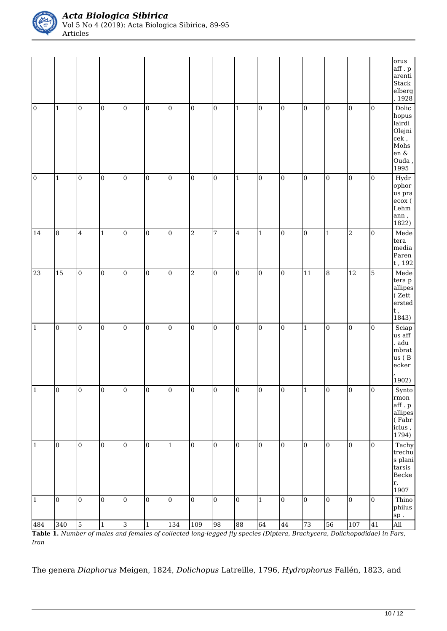

|                       |                         |                     |                                |                     |                                  |                     |                       |                      |                      |                 |                      |                 |                 |                  |                 | orus<br>$\operatorname{aff}$ . $\operatorname{p}$<br>arenti<br>Stack<br>${\rm e} {\rm l} {\rm b} {\rm e} {\rm r} {\rm g}$<br>1928 |
|-----------------------|-------------------------|---------------------|--------------------------------|---------------------|----------------------------------|---------------------|-----------------------|----------------------|----------------------|-----------------|----------------------|-----------------|-----------------|------------------|-----------------|-----------------------------------------------------------------------------------------------------------------------------------|
| $\vert$ 0             | $\mathbf 1$             | $\vert$ 0           | $\boldsymbol{0}$               | $\mathbf 0$         | $\boldsymbol{0}$                 | $\boldsymbol{0}$    | $\mathbf 0$           | $\boldsymbol{0}$     | $\mathbf 1$          | $\overline{0}$  | $\overline{0}$       | $\vert$ 0       | $\overline{0}$  | $\overline{0}$   | $\vert 0 \vert$ | $\rm Dolic$<br>hopus<br>lairdi<br>Olejni<br>$\mathrm{cek}$ ,<br>Mohs<br>en $\&$<br>$\rm Ouda$ ,<br>1995                           |
| $\overline{0}$        | $\mathbf 1$             | $\vert$ 0           | $\mathbf{0}$                   | $\overline{0}$      | $\mathbf{0}$                     | $\mathbf{0}$        | $\vert_0$             | $\overline{0}$       | $\mathbf 1$          | $\overline{0}$  | $\overline{0}$       | $\vert$ 0       | $\vert$ 0       | $\vert$ 0        | l0              | Hydr<br>ophor<br>us pra<br>ecox (<br>Lehm<br>$\,$ ann $_{\prime}$<br>1822)                                                        |
| 14                    | $\overline{\mathbf{8}}$ | $\overline{4}$      | $\mathbf 1$                    | $\mathbf 0$         | $\boldsymbol{0}$                 | $\boldsymbol{0}$    | $\,2$                 | $\overline{7}$       | $\bf{4}$             | $\vert$ 1       | $\overline{0}$       | $\vert$ 0       | $\vert$ 1       | $\vert$ 2        | $\overline{0}$  | Mede<br>tera<br>media<br>Paren<br>$\ensuremath{\mathrm{t}}$ , 192                                                                 |
| 23                    | 15                      | $\vert$ 0           | $\boldsymbol{0}$               | $\overline{0}$      | $\mathbf 0$                      | $\mathbf{0}$        | $\overline{a}$        | $\overline{0}$       | $\overline{0}$       | $\overline{0}$  | $\overline{0}$       | $\overline{11}$ | 8               | $\overline{12}$  | $\overline{5}$  | ${\bf Mede}$<br>tera p<br>allipes<br>(Zett<br>ersted<br>$\begin{matrix} t \\ 1843 \end{matrix}$                                   |
| $\vert$ 1             | $\overline{0}$          | $\overline{0}$      | $\mathbf{0}$                   | $\overline{0}$      | $\boldsymbol{0}$                 | $\boldsymbol{0}$    | $\vert$ 0             | $\mathbf{0}$         | $\mathbf 0$          | $\overline{0}$  | $\overline{0}$       | $\vert$ 1       | $\overline{0}$  | $\overline{0}$   | $\overline{0}$  | $\operatorname{Sciap}$<br>us aff<br>adu<br>$\operatorname{mbrat}$<br>us (B<br>ecker<br>1902)                                      |
| $\sqrt{1}$            | $\vert$ 0               | $\overline{0}$      | $\vert$ 0                      | $\boldsymbol{0}$    | $\boldsymbol{0}$                 | $\overline{0}$      | $\overline{0}$        | $\boldsymbol{0}$     | $\boldsymbol{0}$     | $\overline{0}$  | $\vert$ 0            | $\vert$ 1       | $\vert$ 0       | $\overline{0}$   | $\vert$ 0       | Synto<br>rmon<br>aff.p<br>allipes<br>(Fabr)<br>icius,<br>1794)                                                                    |
| $\vert$ 1             | $\boldsymbol{0}$        | $\vert_0$           | $\bf{0}$                       | $\mathbf{0}$        | $\mathbf{0}$                     | $\mathbf{1}$        | $\overline{0}$        | $\mathbf{0}$         | $\overline{0}$       | $\overline{0}$  | $\overline{0}$       | $\overline{0}$  | $\vert$ 0       | $\vert_0$        | $\vert$ 0       | Tachy<br>trechu<br>s plani<br>tarsis<br>Becke<br>r,<br>1907                                                                       |
| $\overline{1}$<br>484 | $\boldsymbol{0}$<br>340 | $\overline{0}$<br>5 | $\overline{0}$<br>$\mathbf{1}$ | $\overline{0}$<br>c | $\boldsymbol{0}$<br>$\mathbf{1}$ | $\mathbf{0}$<br>134 | $\overline{0}$<br>109 | $\overline{0}$<br>98 | $\overline{0}$<br>88 | $\vert$ 1<br>64 | $\overline{0}$<br>44 | $\vert$ 0<br>73 | $\vert$ 0<br>56 | $\vert$ 0<br>107 | $\vert$ 0<br>41 | Thino<br>philus<br>${\rm sp}$ .<br>All                                                                                            |

**Table 1.** *Number of males and females of collected long-legged fly species (Diptera, Brachycera, Dolichopodidae) in Fars, Iran* 

The genera *Diaphorus* Meigen, 1824, *Dolichopus* Latreille, 1796, *Hydrophorus* Fallén, 1823, and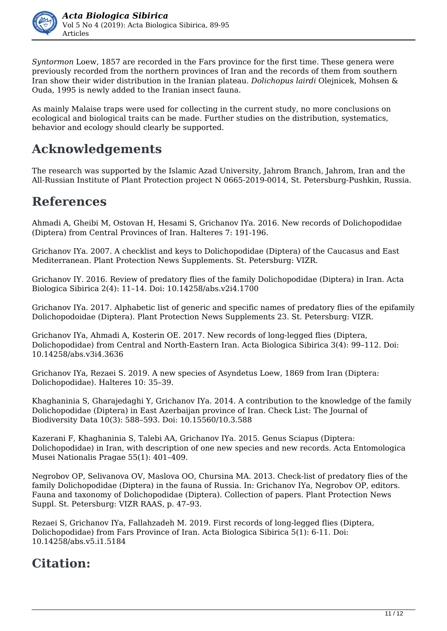

*Syntormon* Loew, 1857 are recorded in the Fars province for the first time. These genera were previously recorded from the northern provinces of Iran and the records of them from southern Iran show their wider distribution in the Iranian plateau. *Dolichopus lairdi* Olejnicek, Mohsen & Ouda, 1995 is newly added to the Iranian insect fauna.

As mainly Malaise traps were used for collecting in the current study, no more conclusions on ecological and biological traits can be made. Further studies on the distribution, systematics, behavior and ecology should clearly be supported.

# **Acknowledgements**

The research was supported by the Islamic Azad University, Jahrom Branch, Jahrom, Iran and the All-Russian Institute of Plant Protection project N 0665-2019-0014, St. Petersburg-Pushkin, Russia.

# **References**

Ahmadi A, Gheibi M, Ostovan H, Hesami S, Grichanov IYa. 2016. New records of Dolichopodidae (Diptera) from Central Provinces of Iran. Halteres 7: 191-196.

Grichanov IYa. 2007. A checklist and keys to Dolichopodidae (Diptera) of the Caucasus and East Mediterranean. Plant Protection News Supplements. St. Petersburg: VIZR.

Grichanov IY. 2016. Review of predatory flies of the family Dolichopodidae (Diptera) in Iran. Acta Biologica Sibirica 2(4): 11–14. Doi: 10.14258/abs.v2i4.1700

Grichanov IYa. 2017. Alphabetic list of generic and specific names of predatory flies of the epifamily Dolichopodoidae (Diptera). Plant Protection News Supplements 23. St. Petersburg: VIZR.

Grichanov IYa, Ahmadi A, Kosterin OE. 2017. New records of long-legged flies (Diptera, Dolichopodidae) from Central and North-Eastern Iran. Acta Biologica Sibirica 3(4): 99–112. Doi: 10.14258/abs.v3i4.3636

Grichanov IYa, Rezaei S. 2019. A new species of Asyndetus Loew, 1869 from Iran (Diptera: Dolichopodidae). Halteres 10: 35–39.

Khaghaninia S, Gharajedaghi Y, Grichanov IYa. 2014. A contribution to the knowledge of the family Dolichopodidae (Diptera) in East Azerbaijan province of Iran. Check List: The Journal of Biodiversity Data 10(3): 588–593. Doi: 10.15560/10.3.588

Kazerani F, Khaghaninia S, Talebi AA, Grichanov IYa. 2015. Genus Sciapus (Diptera: Dolichopodidae) in Iran, with description of one new species and new records. Acta Entomologica Musei Nationalis Pragae 55(1): 401–409.

Negrobov OP, Selivanova OV, Maslova OO, Chursina MA. 2013. Check-list of predatory flies of the family Dolichopodidae (Diptera) in the fauna of Russia. In: Grichanov IYa, Negrobov OP, editors. Fauna and taxonomy of Dolichopodidae (Diptera). Collection of papers. Plant Protection News Suppl. St. Petersburg: VIZR RAAS, p. 47–93.

Rezaei S, Grichanov IYa, Fallahzadeh M. 2019. First records of long-legged flies (Diptera, Dolichopodidae) from Fars Province of Iran. Acta Biologica Sibirica 5(1): 6-11. Doi: 10.14258/abs.v5.i1.5184

# **Citation:**